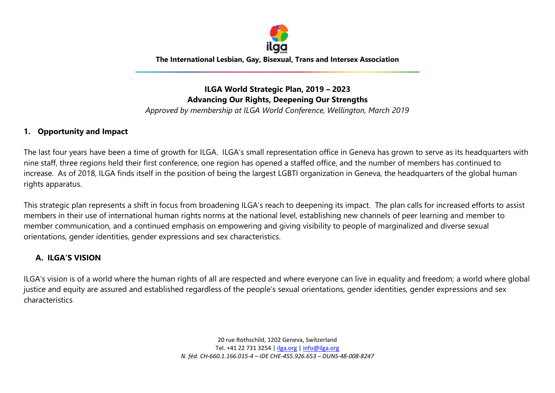

**The International Lesbian, Gay, Bisexual, Trans and Intersex Association**

# **ILGA World Strategic Plan, 2019 – 2023 Advancing Our Rights, Deepening Our Strengths**

*Approved by membership at ILGA World Conference, Wellington, March 2019*

### **1. Opportunity and Impact**

The last four years have been a time of growth for ILGA. ILGA's small representation office in Geneva has grown to serve as its headquarters with nine staff, three regions held their first conference, one region has opened a staffed office, and the number of members has continued to increase. As of 2018, ILGA finds itself in the position of being the largest LGBTI organization in Geneva, the headquarters of the global human rights apparatus.

This strategic plan represents a shift in focus from broadening ILGA's reach to deepening its impact. The plan calls for increased efforts to assist members in their use of international human rights norms at the national level, establishing new channels of peer learning and member to member communication, and a continued emphasis on empowering and giving visibility to people of marginalized and diverse sexual orientations, gender identities, gender expressions and sex characteristics.

## **A. ILGA'S VISION**

ILGA's vision is of a world where the human rights of all are respected and where everyone can live in equality and freedom; a world where global justice and equity are assured and established regardless of the people's sexual orientations, gender identities, gender expressions and sex characteristics

> 20 rue Rothschild, 1202 Geneva, Switzerland Tel. +41 22 731 3254 [| ilga.org](http://ilga.org/) | [info@ilga.org](mailto:info@ilga.org) *N. féd. CH-660.1.166.015-4 – IDE CHE-455.926.653 – DUNS-48-008-8247*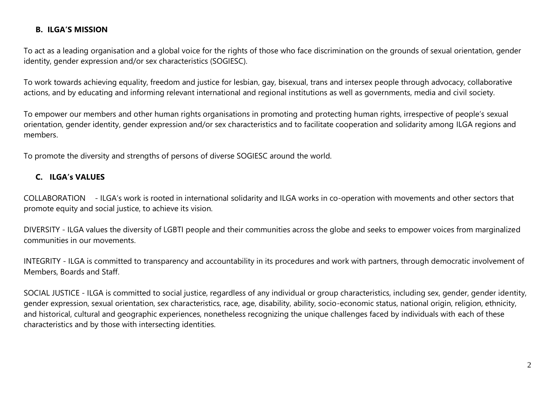## **B. ILGA'S MISSION**

To act as a leading organisation and a global voice for the rights of those who face discrimination on the grounds of sexual orientation, gender identity, gender expression and/or sex characteristics (SOGIESC).

To work towards achieving equality, freedom and justice for lesbian, gay, bisexual, trans and intersex people through advocacy, collaborative actions, and by educating and informing relevant international and regional institutions as well as governments, media and civil society.

To empower our members and other human rights organisations in promoting and protecting human rights, irrespective of people's sexual orientation, gender identity, gender expression and/or sex characteristics and to facilitate cooperation and solidarity among ILGA regions and members.

To promote the diversity and strengths of persons of diverse SOGIESC around the world.

# **C. ILGA's VALUES**

COLLABORATION - ILGA's work is rooted in international solidarity and ILGA works in co-operation with movements and other sectors that promote equity and social justice, to achieve its vision.

DIVERSITY - ILGA values the diversity of LGBTI people and their communities across the globe and seeks to empower voices from marginalized communities in our movements.

INTEGRITY - ILGA is committed to transparency and accountability in its procedures and work with partners, through democratic involvement of Members, Boards and Staff.

SOCIAL JUSTICE - ILGA is committed to social justice, regardless of any individual or group characteristics, including sex, gender, gender identity, gender expression, sexual orientation, sex characteristics, race, age, disability, ability, socio-economic status, national origin, religion, ethnicity, and historical, cultural and geographic experiences, nonetheless recognizing the unique challenges faced by individuals with each of these characteristics and by those with intersecting identities.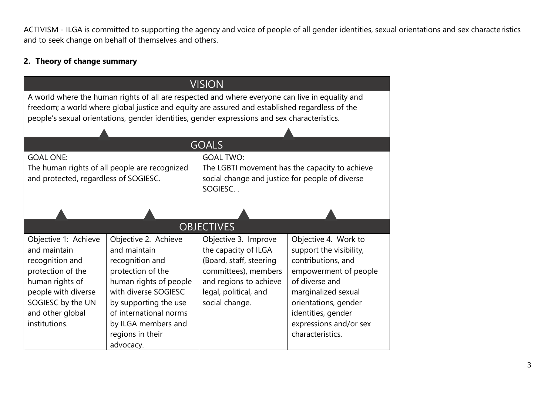ACTIVISM - ILGA is committed to supporting the agency and voice of people of all gender identities, sexual orientations and sex characteristics and to seek change on behalf of themselves and others.

# **2. Theory of change summary**

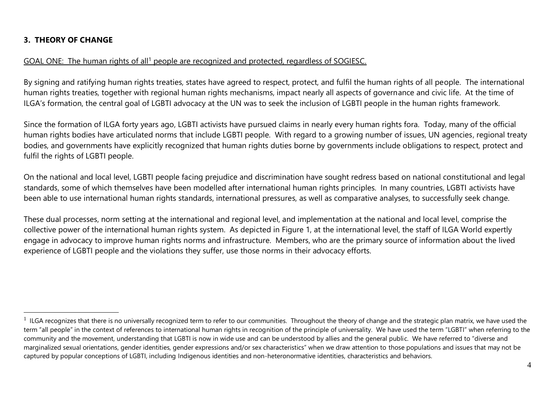# **3. THEORY OF CHANGE**

 $\overline{a}$ 

## GOAL ONE: The human rights of all<sup>1</sup> people are recognized and protected, regardless of SOGIESC.

By signing and ratifying human rights treaties, states have agreed to respect, protect, and fulfil the human rights of all people. The international human rights treaties, together with regional human rights mechanisms, impact nearly all aspects of governance and civic life. At the time of ILGA's formation, the central goal of LGBTI advocacy at the UN was to seek the inclusion of LGBTI people in the human rights framework.

Since the formation of ILGA forty years ago, LGBTI activists have pursued claims in nearly every human rights fora. Today, many of the official human rights bodies have articulated norms that include LGBTI people. With regard to a growing number of issues, UN agencies, regional treaty bodies, and governments have explicitly recognized that human rights duties borne by governments include obligations to respect, protect and fulfil the rights of LGBTI people.

On the national and local level, LGBTI people facing prejudice and discrimination have sought redress based on national constitutional and legal standards, some of which themselves have been modelled after international human rights principles. In many countries, LGBTI activists have been able to use international human rights standards, international pressures, as well as comparative analyses, to successfully seek change.

These dual processes, norm setting at the international and regional level, and implementation at the national and local level, comprise the collective power of the international human rights system. As depicted in Figure 1, at the international level, the staff of ILGA World expertly engage in advocacy to improve human rights norms and infrastructure. Members, who are the primary source of information about the lived experience of LGBTI people and the violations they suffer, use those norms in their advocacy efforts.

 $1$  ILGA recognizes that there is no universally recognized term to refer to our communities. Throughout the theory of change and the strategic plan matrix, we have used the term "all people" in the context of references to international human rights in recognition of the principle of universality. We have used the term "LGBTI" when referring to the community and the movement, understanding that LGBTI is now in wide use and can be understood by allies and the general public. We have referred to "diverse and marginalized sexual orientations, gender identities, gender expressions and/or sex characteristics" when we draw attention to those populations and issues that may not be captured by popular conceptions of LGBTI, including Indigenous identities and non-heteronormative identities, characteristics and behaviors.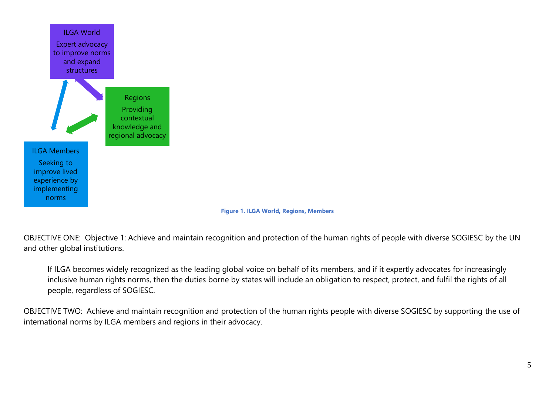

#### **Figure 1. ILGA World, Regions, Members**

OBJECTIVE ONE: Objective 1: Achieve and maintain recognition and protection of the human rights of people with diverse SOGIESC by the UN and other global institutions.

If ILGA becomes widely recognized as the leading global voice on behalf of its members, and if it expertly advocates for increasingly inclusive human rights norms, then the duties borne by states will include an obligation to respect, protect, and fulfil the rights of all people, regardless of SOGIESC.

OBJECTIVE TWO: Achieve and maintain recognition and protection of the human rights people with diverse SOGIESC by supporting the use of international norms by ILGA members and regions in their advocacy.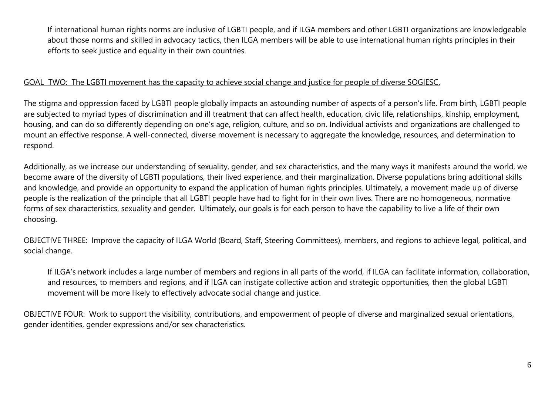If international human rights norms are inclusive of LGBTI people, and if ILGA members and other LGBTI organizations are knowledgeable about those norms and skilled in advocacy tactics, then ILGA members will be able to use international human rights principles in their efforts to seek justice and equality in their own countries.

### GOAL TWO: The LGBTI movement has the capacity to achieve social change and justice for people of diverse SOGIESC.

The stigma and oppression faced by LGBTI people globally impacts an astounding number of aspects of a person's life. From birth, LGBTI people are subjected to myriad types of discrimination and ill treatment that can affect health, education, civic life, relationships, kinship, employment, housing, and can do so differently depending on one's age, religion, culture, and so on. Individual activists and organizations are challenged to mount an effective response. A well-connected, diverse movement is necessary to aggregate the knowledge, resources, and determination to respond.

Additionally, as we increase our understanding of sexuality, gender, and sex characteristics, and the many ways it manifests around the world, we become aware of the diversity of LGBTI populations, their lived experience, and their marginalization. Diverse populations bring additional skills and knowledge, and provide an opportunity to expand the application of human rights principles. Ultimately, a movement made up of diverse people is the realization of the principle that all LGBTI people have had to fight for in their own lives. There are no homogeneous, normative forms of sex characteristics, sexuality and gender. Ultimately, our goals is for each person to have the capability to live a life of their own choosing.

OBJECTIVE THREE: Improve the capacity of ILGA World (Board, Staff, Steering Committees), members, and regions to achieve legal, political, and social change.

If ILGA's network includes a large number of members and regions in all parts of the world, if ILGA can facilitate information, collaboration, and resources, to members and regions, and if ILGA can instigate collective action and strategic opportunities, then the global LGBTI movement will be more likely to effectively advocate social change and justice.

OBJECTIVE FOUR: Work to support the visibility, contributions, and empowerment of people of diverse and marginalized sexual orientations, gender identities, gender expressions and/or sex characteristics.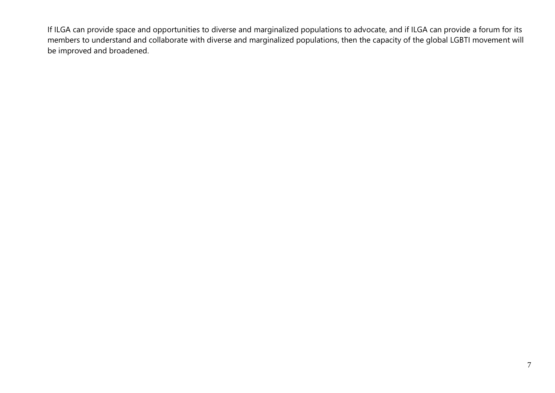If ILGA can provide space and opportunities to diverse and marginalized populations to advocate, and if ILGA can provide a forum for its members to understand and collaborate with diverse and marginalized populations, then the capacity of the global LGBTI movement will be improved and broadened.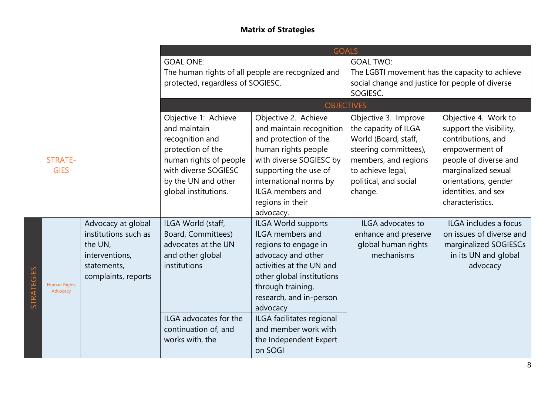# **Matrix of Strategies**

|                                               |                                                                                                               | <b>GOALS</b>                                                                                                                                                                  |                                                                                                                                                                                                                                                                                                             |                                                                                                                                                                                |                                                                                                                                                                                                            |  |
|-----------------------------------------------|---------------------------------------------------------------------------------------------------------------|-------------------------------------------------------------------------------------------------------------------------------------------------------------------------------|-------------------------------------------------------------------------------------------------------------------------------------------------------------------------------------------------------------------------------------------------------------------------------------------------------------|--------------------------------------------------------------------------------------------------------------------------------------------------------------------------------|------------------------------------------------------------------------------------------------------------------------------------------------------------------------------------------------------------|--|
|                                               |                                                                                                               | <b>GOAL ONE:</b><br>The human rights of all people are recognized and<br>protected, regardless of SOGIESC.                                                                    |                                                                                                                                                                                                                                                                                                             | <b>GOAL TWO:</b><br>The LGBTI movement has the capacity to achieve<br>social change and justice for people of diverse<br>SOGIESC.                                              |                                                                                                                                                                                                            |  |
|                                               |                                                                                                               | <b>OBJECTIVES</b>                                                                                                                                                             |                                                                                                                                                                                                                                                                                                             |                                                                                                                                                                                |                                                                                                                                                                                                            |  |
| <b>STRATE-</b><br><b>GIES</b>                 |                                                                                                               | Objective 1: Achieve<br>and maintain<br>recognition and<br>protection of the<br>human rights of people<br>with diverse SOGIESC<br>by the UN and other<br>global institutions. | Objective 2. Achieve<br>and maintain recognition<br>and protection of the<br>human rights people<br>with diverse SOGIESC by<br>supporting the use of<br>international norms by<br><b>ILGA</b> members and<br>regions in their<br>advocacy.                                                                  | Objective 3. Improve<br>the capacity of ILGA<br>World (Board, staff,<br>steering committees),<br>members, and regions<br>to achieve legal,<br>political, and social<br>change. | Objective 4. Work to<br>support the visibility,<br>contributions, and<br>empowerment of<br>people of diverse and<br>marginalized sexual<br>orientations, gender<br>identities, and sex<br>characteristics. |  |
| STRATEGIES<br><b>Human Rights</b><br>Advocacy | Advocacy at global<br>institutions such as<br>the UN,<br>interventions,<br>statements,<br>complaints, reports | ILGA World (staff,<br>Board, Committees)<br>advocates at the UN<br>and other global<br>institutions<br>ILGA advocates for the<br>continuation of, and<br>works with, the      | ILGA World supports<br><b>ILGA</b> members and<br>regions to engage in<br>advocacy and other<br>activities at the UN and<br>other global institutions<br>through training,<br>research, and in-person<br>advocacy<br>ILGA facilitates regional<br>and member work with<br>the Independent Expert<br>on SOGI | ILGA advocates to<br>enhance and preserve<br>global human rights<br>mechanisms                                                                                                 | ILGA includes a focus<br>on issues of diverse and<br>marginalized SOGIESCs<br>in its UN and global<br>advocacy                                                                                             |  |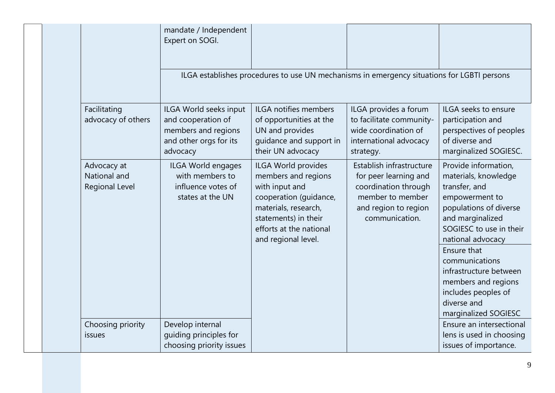|  |                                                      |                                                                                 | mandate / Independent<br>Expert on SOGI.                                                                                                                                                 |                                                                                                                                         |                                                                                                                                                                                                                                                                                                                               |                                                                                                                 |
|--|------------------------------------------------------|---------------------------------------------------------------------------------|------------------------------------------------------------------------------------------------------------------------------------------------------------------------------------------|-----------------------------------------------------------------------------------------------------------------------------------------|-------------------------------------------------------------------------------------------------------------------------------------------------------------------------------------------------------------------------------------------------------------------------------------------------------------------------------|-----------------------------------------------------------------------------------------------------------------|
|  |                                                      |                                                                                 |                                                                                                                                                                                          | ILGA establishes procedures to use UN mechanisms in emergency situations for LGBTI persons                                              |                                                                                                                                                                                                                                                                                                                               |                                                                                                                 |
|  |                                                      | Facilitating<br>advocacy of others                                              | ILGA World seeks input<br>and cooperation of<br>members and regions<br>and other orgs for its<br>advocacy                                                                                | <b>ILGA notifies members</b><br>of opportunities at the<br>UN and provides<br>guidance and support in<br>their UN advocacy              | ILGA provides a forum<br>to facilitate community-<br>wide coordination of<br>international advocacy<br>strategy.                                                                                                                                                                                                              | ILGA seeks to ensure<br>participation and<br>perspectives of peoples<br>of diverse and<br>marginalized SOGIESC. |
|  | Advocacy at<br>National and<br><b>Regional Level</b> | ILGA World engages<br>with members to<br>influence votes of<br>states at the UN | ILGA World provides<br>members and regions<br>with input and<br>cooperation (guidance,<br>materials, research,<br>statements) in their<br>efforts at the national<br>and regional level. | Establish infrastructure<br>for peer learning and<br>coordination through<br>member to member<br>and region to region<br>communication. | Provide information,<br>materials, knowledge<br>transfer, and<br>empowerment to<br>populations of diverse<br>and marginalized<br>SOGIESC to use in their<br>national advocacy<br>Ensure that<br>communications<br>infrastructure between<br>members and regions<br>includes peoples of<br>diverse and<br>marginalized SOGIESC |                                                                                                                 |
|  |                                                      | Choosing priority<br>issues                                                     | Develop internal<br>quiding principles for<br>choosing priority issues                                                                                                                   |                                                                                                                                         |                                                                                                                                                                                                                                                                                                                               | Ensure an intersectional<br>lens is used in choosing<br>issues of importance.                                   |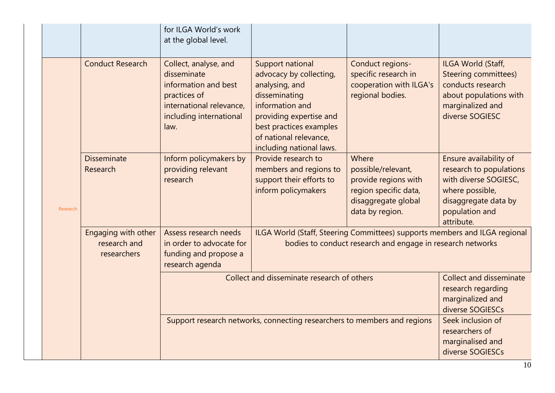|  |                         |                                                                                                                                             | for ILGA World's work<br>at the global level.                                                                                                                                                                 |                                                                                                  |                                                                                                                                          |                                                                                                                                                       |
|--|-------------------------|---------------------------------------------------------------------------------------------------------------------------------------------|---------------------------------------------------------------------------------------------------------------------------------------------------------------------------------------------------------------|--------------------------------------------------------------------------------------------------|------------------------------------------------------------------------------------------------------------------------------------------|-------------------------------------------------------------------------------------------------------------------------------------------------------|
|  | <b>Conduct Research</b> | Collect, analyse, and<br>disseminate<br>information and best<br>practices of<br>international relevance,<br>including international<br>law. | Support national<br>advocacy by collecting,<br>analysing, and<br>disseminating<br>information and<br>providing expertise and<br>best practices examples<br>of national relevance,<br>including national laws. | Conduct regions-<br>specific research in<br>cooperation with ILGA's<br>regional bodies.          | ILGA World (Staff,<br><b>Steering committees)</b><br>conducts research<br>about populations with<br>marginalized and<br>diverse SOGIESC  |                                                                                                                                                       |
|  | Research                | <b>Disseminate</b><br>Research                                                                                                              | Inform policymakers by<br>providing relevant<br>research                                                                                                                                                      | Provide research to<br>members and regions to<br>support their efforts to<br>inform policymakers | Where<br>possible/relevant,<br>provide regions with<br>region specific data,<br>disaggregate global<br>data by region.                   | Ensure availability of<br>research to populations<br>with diverse SOGIESC,<br>where possible,<br>disaggregate data by<br>population and<br>attribute. |
|  |                         | Engaging with other<br>research and<br>researchers                                                                                          | Assess research needs<br>in order to advocate for<br>funding and propose a<br>research agenda                                                                                                                 |                                                                                                  | ILGA World (Staff, Steering Committees) supports members and ILGA regional<br>bodies to conduct research and engage in research networks |                                                                                                                                                       |
|  |                         |                                                                                                                                             | Collect and disseminate research of others                                                                                                                                                                    |                                                                                                  |                                                                                                                                          | <b>Collect and disseminate</b><br>research regarding<br>marginalized and<br>diverse SOGIESCs                                                          |
|  |                         |                                                                                                                                             | Support research networks, connecting researchers to members and regions                                                                                                                                      |                                                                                                  |                                                                                                                                          | Seek inclusion of<br>researchers of<br>marginalised and<br>diverse SOGIESCs                                                                           |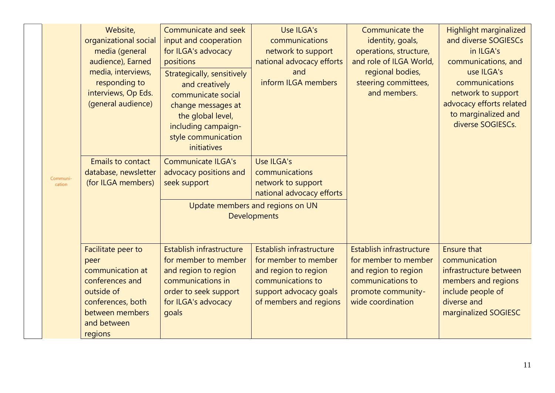|                    | Website,<br>organizational social<br>media (general<br>audience), Earned<br>media, interviews,<br>responding to<br>interviews, Op Eds.<br>(general audience) | Communicate and seek<br>input and cooperation<br>for ILGA's advocacy<br>positions<br>Strategically, sensitively<br>and creatively<br>communicate social<br>change messages at<br>the global level,<br>including campaign-<br>style communication<br>initiatives | Use ILGA's<br>communications<br>network to support<br>national advocacy efforts<br>and<br>inform ILGA members                                     | Communicate the<br>identity, goals,<br>operations, structure,<br>and role of ILGA World,<br>regional bodies,<br>steering committees,<br>and members. | <b>Highlight marginalized</b><br>and diverse SOGIESCs<br>in ILGA's<br>communications, and<br>use ILGA's<br>communications<br>network to support<br>advocacy efforts related<br>to marginalized and<br>diverse SOGIESCs. |
|--------------------|--------------------------------------------------------------------------------------------------------------------------------------------------------------|-----------------------------------------------------------------------------------------------------------------------------------------------------------------------------------------------------------------------------------------------------------------|---------------------------------------------------------------------------------------------------------------------------------------------------|------------------------------------------------------------------------------------------------------------------------------------------------------|-------------------------------------------------------------------------------------------------------------------------------------------------------------------------------------------------------------------------|
| Communi-<br>cation | <b>Emails to contact</b><br>database, newsletter<br>(for ILGA members)                                                                                       | <b>Communicate ILGA's</b><br>advocacy positions and<br>seek support                                                                                                                                                                                             | Use ILGA's<br>communications<br>network to support<br>national advocacy efforts<br>Update members and regions on UN<br><b>Developments</b>        |                                                                                                                                                      |                                                                                                                                                                                                                         |
|                    | Facilitate peer to<br>peer<br>communication at<br>conferences and<br>outside of<br>conferences, both<br>between members<br>and between<br>regions            | Establish infrastructure<br>for member to member<br>and region to region<br>communications in<br>order to seek support<br>for ILGA's advocacy<br>goals                                                                                                          | Establish infrastructure<br>for member to member<br>and region to region<br>communications to<br>support advocacy goals<br>of members and regions | Establish infrastructure<br>for member to member<br>and region to region<br>communications to<br>promote community-<br>wide coordination             | <b>Ensure that</b><br>communication<br>infrastructure between<br>members and regions<br>include people of<br>diverse and<br>marginalized SOGIESC                                                                        |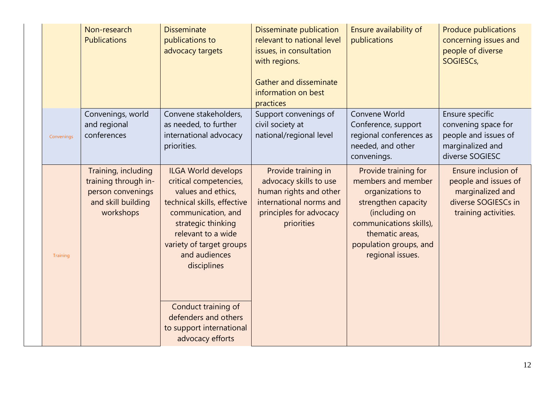|            | Non-research<br><b>Publications</b>                                                                 | <b>Disseminate</b><br>publications to<br>advocacy targets                                                                                                                                                                                                                                                                              | Disseminate publication<br>relevant to national level<br>issues, in consultation<br>with regions.<br><b>Gather and disseminate</b><br>information on best<br>practices | Ensure availability of<br>publications                                                                                                                                                             | <b>Produce publications</b><br>concerning issues and<br>people of diverse<br>SOGIESCs,                         |
|------------|-----------------------------------------------------------------------------------------------------|----------------------------------------------------------------------------------------------------------------------------------------------------------------------------------------------------------------------------------------------------------------------------------------------------------------------------------------|------------------------------------------------------------------------------------------------------------------------------------------------------------------------|----------------------------------------------------------------------------------------------------------------------------------------------------------------------------------------------------|----------------------------------------------------------------------------------------------------------------|
| Convenings | Convenings, world<br>and regional<br>conferences                                                    | Convene stakeholders,<br>as needed, to further<br>international advocacy<br>priorities.                                                                                                                                                                                                                                                | Support convenings of<br>civil society at<br>national/regional level                                                                                                   | Convene World<br>Conference, support<br>regional conferences as<br>needed, and other<br>convenings.                                                                                                | Ensure specific<br>convening space for<br>people and issues of<br>marginalized and<br>diverse SOGIESC          |
| Training   | Training, including<br>training through in-<br>person convenings<br>and skill building<br>workshops | <b>ILGA World develops</b><br>critical competencies,<br>values and ethics,<br>technical skills, effective<br>communication, and<br>strategic thinking<br>relevant to a wide<br>variety of target groups<br>and audiences<br>disciplines<br>Conduct training of<br>defenders and others<br>to support international<br>advocacy efforts | Provide training in<br>advocacy skills to use<br>human rights and other<br>international norms and<br>principles for advocacy<br>priorities                            | Provide training for<br>members and member<br>organizations to<br>strengthen capacity<br>(including on<br>communications skills),<br>thematic areas,<br>population groups, and<br>regional issues. | Ensure inclusion of<br>people and issues of<br>marginalized and<br>diverse SOGIESCs in<br>training activities. |